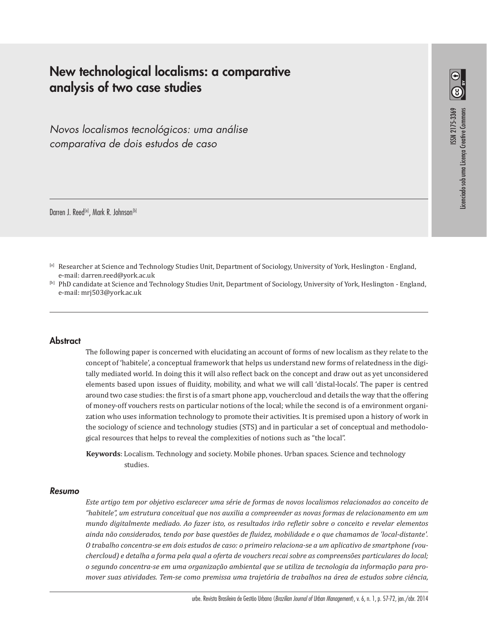# **New technological localisms: a comparative analysis of two case studies**

*Novos localismos tecnológicos: uma análise comparativa de dois estudos de caso*

Darren J. Reed<sup>[a]</sup>, Mark R. Johnson<sup>[b]</sup>

[a] Researcher at Science and Technology Studies Unit, Department of Sociology, University of York, Heslington - England, e-mail: darren.reed@york.ac.uk

[b] PhD candidate at Science and Technology Studies Unit, Department of Sociology, University of York, Heslington - England, e-mail: mrj503@york.ac.uk

# **Abstract**

The following paper is concerned with elucidating an account of forms of new localism as they relate to the concept of 'habitele', a conceptual framework that helps us understand new forms of relatedness in the digitally mediated world. In doing this it will also reflect back on the concept and draw out as yet unconsidered elements based upon issues of fluidity, mobility, and what we will call 'distal-locals'. The paper is centred around two case studies: the first is of a smart phone app, vouchercloud and details the way that the offering of money-off vouchers rests on particular notions of the local; while the second is of a environment organization who uses information technology to promote their activities. It is premised upon a history of work in the sociology of science and technology studies (STS) and in particular a set of conceptual and methodological resources that helps to reveal the complexities of notions such as "the local".

**Keywords**: Localism. Technology and society. Mobile phones. Urban spaces. Science and technology studies.

# *Resumo*

*Este artigo tem por objetivo esclarecer uma série de formas de novos localismos relacionados ao conceito de "habitele", um estrutura conceitual que nos auxilia a compreender as novas formas de relacionamento em um mundo digitalmente mediado. Ao fazer isto, os resultados irão refletir sobre o conceito e revelar elementos ainda não considerados, tendo por base questões de fluidez, mobilidade e o que chamamos de 'local-distante'. O trabalho concentra-se em dois estudos de caso: o primeiro relaciona-se a um aplicativo de smartphone (vouchercloud) e detalha a forma pela qual a oferta de vouchers recai sobre as compreensões particulares do local; o segundo concentra-se em uma organização ambiental que se utiliza de tecnologia da informação para promover suas atividades. Tem-se como premissa uma trajetória de trabalhos na área de estudos sobre ciência,*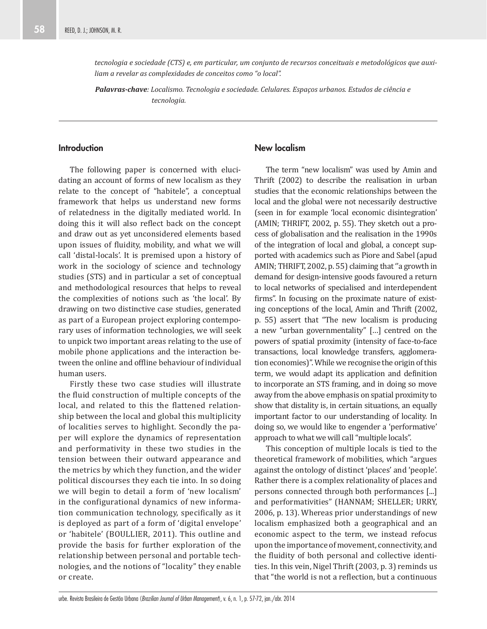*tecnologia e sociedade (CTS) e, em particular, um conjunto de recursos conceituais e metodológicos que auxiliam a revelar as complexidades de conceitos como "o local".* 

*Palavras-chave: Localismo. Tecnologia e sociedade. Celulares. Espaços urbanos. Estudos de ciência e tecnologia.*

# **Introduction**

The following paper is concerned with elucidating an account of forms of new localism as they relate to the concept of "habitele", a conceptual framework that helps us understand new forms of relatedness in the digitally mediated world. In doing this it will also reflect back on the concept and draw out as yet unconsidered elements based upon issues of fluidity, mobility, and what we will call 'distal-locals'. It is premised upon a history of work in the sociology of science and technology studies (STS) and in particular a set of conceptual and methodological resources that helps to reveal the complexities of notions such as 'the local'. By drawing on two distinctive case studies, generated as part of a European project exploring contemporary uses of information technologies, we will seek to unpick two important areas relating to the use of mobile phone applications and the interaction between the online and offline behaviour of individual human users.

Firstly these two case studies will illustrate the fluid construction of multiple concepts of the local, and related to this the flattened relationship between the local and global this multiplicity of localities serves to highlight. Secondly the paper will explore the dynamics of representation and performativity in these two studies in the tension between their outward appearance and the metrics by which they function, and the wider political discourses they each tie into. In so doing we will begin to detail a form of 'new localism' in the configurational dynamics of new information communication technology, specifically as it is deployed as part of a form of 'digital envelope' or 'habitele' (BOULLIER, 2011). This outline and provide the basis for further exploration of the relationship between personal and portable technologies, and the notions of "locality" they enable or create.

#### **New localism**

The term "new localism" was used by Amin and Thrift (2002) to describe the realisation in urban studies that the economic relationships between the local and the global were not necessarily destructive (seen in for example 'local economic disintegration' (AMIN; THRIFT, 2002, p. 55). They sketch out a process of globalisation and the realisation in the 1990s of the integration of local and global, a concept supported with academics such as Piore and Sabel (apud AMIN; THRIFT, 2002, p. 55) claiming that ''a growth in demand for design-intensive goods favoured a return to local networks of specialised and interdependent firms". In focusing on the proximate nature of existing conceptions of the local, Amin and Thrift (2002, p. 55) assert that "The new localism is producing a new "urban governmentality" […] centred on the powers of spatial proximity (intensity of face-to-face transactions, local knowledge transfers, agglomeration economies)". While we recognise the origin of this term, we would adapt its application and definition to incorporate an STS framing, and in doing so move away from the above emphasis on spatial proximity to show that distality is, in certain situations, an equally important factor to our understanding of locality. In doing so, we would like to engender a 'performative' approach to what we will call "multiple locals".

This conception of multiple locals is tied to the theoretical framework of mobilities, which "argues against the ontology of distinct 'places' and 'people'. Rather there is a complex relationality of places and persons connected through both performances [...] and performativities" (HANNAM; SHELLER; URRY, 2006, p. 13). Whereas prior understandings of new localism emphasized both a geographical and an economic aspect to the term, we instead refocus upon the importance of movement, connectivity, and the fluidity of both personal and collective identities. In this vein, Nigel Thrift (2003, p. 3) reminds us that "the world is not a reflection, but a continuous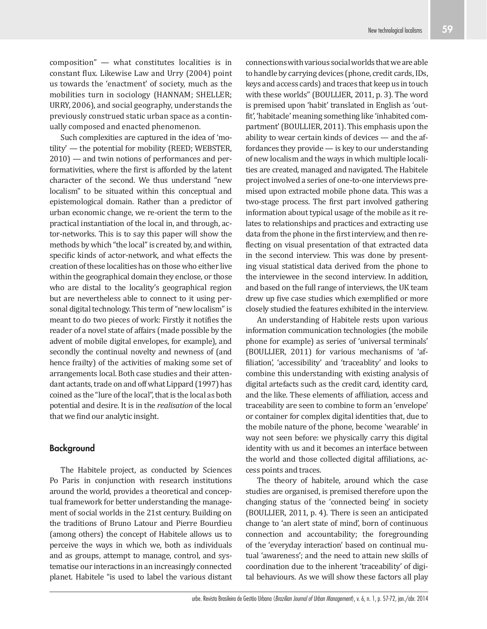composition" — what constitutes localities is in constant flux. Likewise Law and Urry (2004) point us towards the 'enactment' of society, much as the mobilities turn in sociology (HANNAM; SHELLER; URRY, 2006), and social geography, understands the previously construed static urban space as a continually composed and enacted phenomenon.

Such complexities are captured in the idea of 'motility' — the potential for mobility (REED; WEBSTER, 2010) — and twin notions of performances and performativities, where the first is afforded by the latent character of the second. We thus understand "new localism" to be situated within this conceptual and epistemological domain. Rather than a predictor of urban economic change, we re-orient the term to the practical instantiation of the local in, and through, actor-networks. This is to say this paper will show the methods by which "the local" is created by, and within, specific kinds of actor-network, and what effects the creation of these localities has on those who either live within the geographical domain they enclose, or those who are distal to the locality's geographical region but are nevertheless able to connect to it using personal digital technology. This term of "new localism" is meant to do two pieces of work: Firstly it notifies the reader of a novel state of affairs (made possible by the advent of mobile digital envelopes, for example), and secondly the continual novelty and newness of (and hence frailty) of the activities of making some set of arrangements local. Both case studies and their attendant actants, trade on and off what Lippard (1997) has coined as the "lure of the local", that is the local as both potential and desire. It is in the *realisation* of the local that we find our analytic insight.

# **Background**

The Habitele project, as conducted by Sciences Po Paris in conjunction with research institutions around the world, provides a theoretical and conceptual framework for better understanding the management of social worlds in the 21st century. Building on the traditions of Bruno Latour and Pierre Bourdieu (among others) the concept of Habitele allows us to perceive the ways in which we, both as individuals and as groups, attempt to manage, control, and systematise our interactions in an increasingly connected planet. Habitele "is used to label the various distant connections with various social worlds that we are able to handle by carrying devices (phone, credit cards, IDs, keys and access cards) and traces that keep us in touch with these worlds" (BOULLIER, 2011, p. 3). The word is premised upon 'habit' translated in English as 'outfit', 'habitacle' meaning something like 'inhabited compartment' (BOULLIER, 2011). This emphasis upon the ability to wear certain kinds of devices — and the affordances they provide — is key to our understanding of new localism and the ways in which multiple localities are created, managed and navigated. The Habitele project involved a series of one-to-one interviews premised upon extracted mobile phone data. This was a two-stage process. The first part involved gathering information about typical usage of the mobile as it relates to relationships and practices and extracting use data from the phone in the first interview, and then reflecting on visual presentation of that extracted data in the second interview. This was done by presenting visual statistical data derived from the phone to the interviewee in the second interview. In addition, and based on the full range of interviews, the UK team drew up five case studies which exemplified or more closely studied the features exhibited in the interview.

An understanding of Habitele rests upon various information communication technologies (the mobile phone for example) as series of 'universal terminals' (BOULLIER, 2011) for various mechanisms of 'affiliation', 'accessibility' and 'traceablity' and looks to combine this understanding with existing analysis of digital artefacts such as the credit card, identity card, and the like. These elements of affiliation, access and traceability are seen to combine to form an 'envelope' or container for complex digital identities that, due to the mobile nature of the phone, become 'wearable' in way not seen before: we physically carry this digital identity with us and it becomes an interface between the world and those collected digital affiliations, access points and traces.

The theory of habitele, around which the case studies are organised, is premised therefore upon the changing status of the 'connected being' in society (BOULLIER, 2011, p. 4). There is seen an anticipated change to 'an alert state of mind', born of continuous connection and accountability; the foregrounding of the 'everyday interaction' based on continual mutual 'awareness'; and the need to attain new skills of coordination due to the inherent 'traceability' of digital behaviours. As we will show these factors all play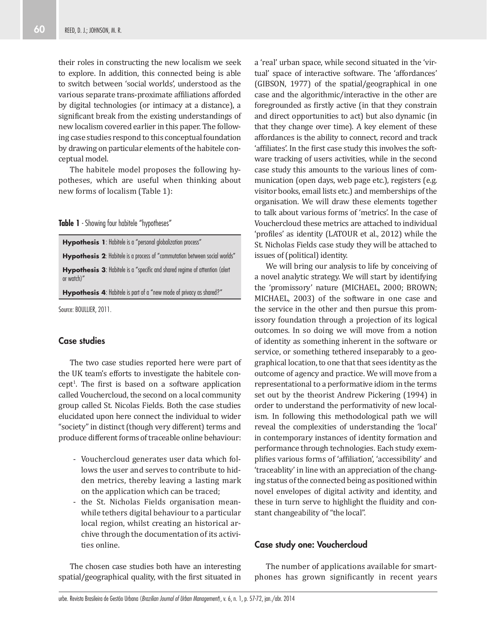their roles in constructing the new localism we seek to explore. In addition, this connected being is able to switch between 'social worlds', understood as the various separate trans-proximate affiliations afforded by digital technologies (or intimacy at a distance), a significant break from the existing understandings of new localism covered earlier in this paper. The following case studies respond to this conceptual foundation by drawing on particular elements of the habitele conceptual model.

The habitele model proposes the following hypotheses, which are useful when thinking about new forms of localism (Table 1):

**Table 1** - Showing four habitele "hypotheses"

| Hypothesis 4: Habitele is part of a "new mode of privacy as shared?"                      |
|-------------------------------------------------------------------------------------------|
| Hypothesis 3: Habitele is a "specific and shared regime of attention (alert<br>or watch)" |
| <b>Hypothesis 2:</b> Habitele is a process of "commutation between social worlds"         |
| <b>Hypothesis 1:</b> Habitele is a "personal globalization process"                       |

Source: BOULLIER, 2011.

# **Case studies**

The two case studies reported here were part of the UK team's efforts to investigate the habitele concept<sup>1</sup>. The first is based on a software application called Vouchercloud, the second on a local community group called St. Nicolas Fields. Both the case studies elucidated upon here connect the individual to wider "society" in distinct (though very different) terms and produce different forms of traceable online behaviour:

- Vouchercloud generates user data which follows the user and serves to contribute to hidden metrics, thereby leaving a lasting mark on the application which can be traced;
- the St. Nicholas Fields organisation meanwhile tethers digital behaviour to a particular local region, whilst creating an historical archive through the documentation of its activities online.

The chosen case studies both have an interesting spatial/geographical quality, with the first situated in a 'real' urban space, while second situated in the 'virtual' space of interactive software. The 'affordances' (GIBSON, 1977) of the spatial/geographical in one case and the algorithmic/interactive in the other are foregrounded as firstly active (in that they constrain and direct opportunities to act) but also dynamic (in that they change over time). A key element of these affordances is the ability to connect, record and track 'affiliates'. In the first case study this involves the software tracking of users activities, while in the second case study this amounts to the various lines of communication (open days, web page etc.), registers (e.g. visitor books, email lists etc.) and memberships of the organisation. We will draw these elements together to talk about various forms of 'metrics'. In the case of Vouchercloud these metrics are attached to individual 'profiles' as identity (LATOUR et al., 2012) while the St. Nicholas Fields case study they will be attached to issues of (political) identity.

We will bring our analysis to life by conceiving of a novel analytic strategy. We will start by identifying the 'promissory' nature (MICHAEL, 2000; BROWN; MICHAEL, 2003) of the software in one case and the service in the other and then pursue this promissory foundation through a projection of its logical outcomes. In so doing we will move from a notion of identity as something inherent in the software or service, or something tethered inseparably to a geographical location, to one that that sees identity as the outcome of agency and practice. We will move from a representational to a performative idiom in the terms set out by the theorist Andrew Pickering (1994) in order to understand the performativity of new localism. In following this methodological path we will reveal the complexities of understanding the 'local' in contemporary instances of identity formation and performance through technologies. Each study exemplifies various forms of 'affiliation', 'accessibility' and 'traceablity' in line with an appreciation of the changing status of the connected being as positioned within novel envelopes of digital activity and identity, and these in turn serve to highlight the fluidity and constant changeability of "the local".

#### **Case study one: Vouchercloud**

The number of applications available for smartphones has grown significantly in recent years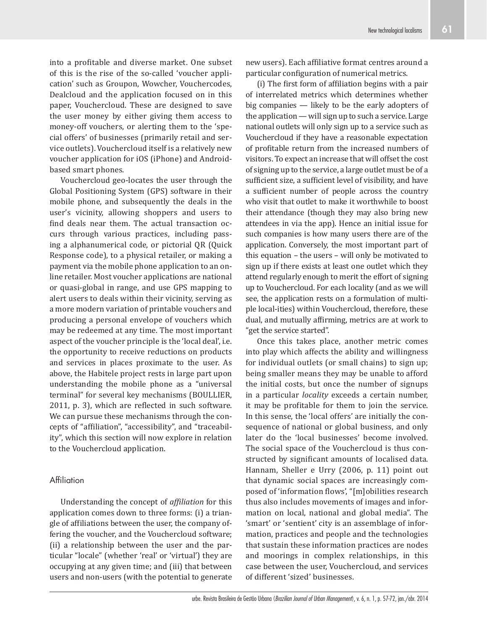into a profitable and diverse market. One subset of this is the rise of the so-called 'voucher application' such as Groupon, Wowcher, Vouchercodes, Dealcloud and the application focused on in this paper, Vouchercloud. These are designed to save the user money by either giving them access to money-off vouchers, or alerting them to the 'special offers' of businesses (primarily retail and service outlets). Vouchercloud itself is a relatively new voucher application for iOS (iPhone) and Androidbased smart phones.

Vouchercloud geo-locates the user through the Global Positioning System (GPS) software in their mobile phone, and subsequently the deals in the user's vicinity, allowing shoppers and users to find deals near them. The actual transaction occurs through various practices, including passing a alphanumerical code, or pictorial QR (Quick Response code), to a physical retailer, or making a payment via the mobile phone application to an online retailer. Most voucher applications are national or quasi-global in range, and use GPS mapping to alert users to deals within their vicinity, serving as a more modern variation of printable vouchers and producing a personal envelope of vouchers which may be redeemed at any time. The most important aspect of the voucher principle is the 'local deal', i.e. the opportunity to receive reductions on products and services in places proximate to the user. As above, the Habitele project rests in large part upon understanding the mobile phone as a "universal terminal" for several key mechanisms (BOULLIER, 2011, p. 3), which are reflected in such software. We can pursue these mechanisms through the concepts of "affiliation", "accessibility", and "traceability", which this section will now explore in relation to the Vouchercloud application.

# **Affiliation**

Understanding the concept of *affiliation* for this application comes down to three forms: (i) a triangle of affiliations between the user, the company offering the voucher, and the Vouchercloud software; (ii) a relationship between the user and the particular "locale" (whether 'real' or 'virtual') they are occupying at any given time; and (iii) that between users and non-users (with the potential to generate new users). Each affiliative format centres around a particular configuration of numerical metrics.

(i) The first form of affiliation begins with a pair of interrelated metrics which determines whether big companies — likely to be the early adopters of the application — will sign up to such a service. Large national outlets will only sign up to a service such as Vouchercloud if they have a reasonable expectation of profitable return from the increased numbers of visitors. To expect an increase that will offset the cost of signing up to the service, a large outlet must be of a sufficient size, a sufficient level of visibility, and have a sufficient number of people across the country who visit that outlet to make it worthwhile to boost their attendance (though they may also bring new attendees in via the app). Hence an initial issue for such companies is how many users there are of the application. Conversely, the most important part of this equation – the users – will only be motivated to sign up if there exists at least one outlet which they attend regularly enough to merit the effort of signing up to Vouchercloud. For each locality (and as we will see, the application rests on a formulation of multiple local-ities) within Vouchercloud, therefore, these dual, and mutually affirming, metrics are at work to "get the service started".

Once this takes place, another metric comes into play which affects the ability and willingness for individual outlets (or small chains) to sign up; being smaller means they may be unable to afford the initial costs, but once the number of signups in a particular *locality* exceeds a certain number, it may be profitable for them to join the service. In this sense, the 'local offers' are initially the consequence of national or global business, and only later do the 'local businesses' become involved. The social space of the Vouchercloud is thus constructed by significant amounts of localised data. Hannam, Sheller e Urry (2006, p. 11) point out that dynamic social spaces are increasingly composed of 'information flows', "[m]obilities research thus also includes movements of images and information on local, national and global media". The 'smart' or 'sentient' city is an assemblage of information, practices and people and the technologies that sustain these information practices are nodes and moorings in complex relationships, in this case between the user, Vouchercloud, and services of different 'sized' businesses.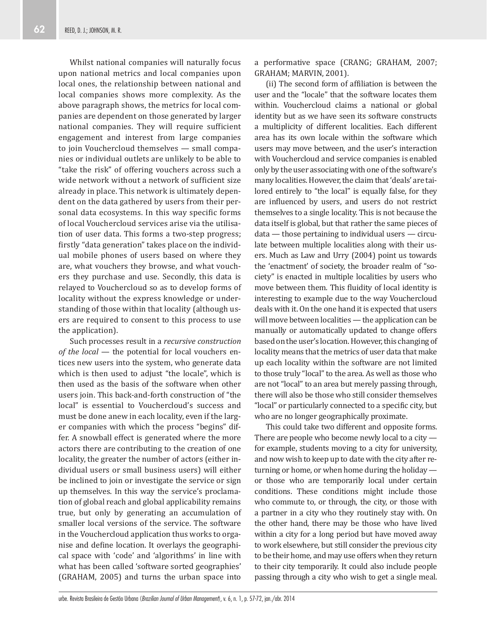Whilst national companies will naturally focus upon national metrics and local companies upon local ones, the relationship between national and local companies shows more complexity. As the above paragraph shows, the metrics for local companies are dependent on those generated by larger national companies. They will require sufficient engagement and interest from large companies to join Vouchercloud themselves — small companies or individual outlets are unlikely to be able to "take the risk" of offering vouchers across such a wide network without a network of sufficient size already in place. This network is ultimately dependent on the data gathered by users from their personal data ecosystems. In this way specific forms of local Vouchercloud services arise via the utilisation of user data. This forms a two-step progress; firstly "data generation" takes place on the individual mobile phones of users based on where they are, what vouchers they browse, and what vouchers they purchase and use. Secondly, this data is relayed to Vouchercloud so as to develop forms of locality without the express knowledge or understanding of those within that locality (although users are required to consent to this process to use the application).

Such processes result in a *recursive construction of the local* — the potential for local vouchers entices new users into the system, who generate data which is then used to adjust "the locale", which is then used as the basis of the software when other users join. This back-and-forth construction of "the local" is essential to Vouchercloud's success and must be done anew in each locality, even if the larger companies with which the process "begins" differ. A snowball effect is generated where the more actors there are contributing to the creation of one locality, the greater the number of actors (either individual users or small business users) will either be inclined to join or investigate the service or sign up themselves. In this way the service's proclamation of global reach and global applicability remains true, but only by generating an accumulation of smaller local versions of the service. The software in the Vouchercloud application thus works to organise and define location. It overlays the geographical space with 'code' and 'algorithms' in line with what has been called 'software sorted geographies' (GRAHAM, 2005) and turns the urban space into a performative space (CRANG; GRAHAM, 2007; GRAHAM; MARVIN, 2001).

(ii) The second form of affiliation is between the user and the "locale" that the software locates them within. Vouchercloud claims a national or global identity but as we have seen its software constructs a multiplicity of different localities. Each different area has its own locale within the software which users may move between, and the user's interaction with Vouchercloud and service companies is enabled only by the user associating with one of the software's many localities. However, the claim that 'deals' are tailored entirely to "the local" is equally false, for they are influenced by users, and users do not restrict themselves to a single locality. This is not because the data itself is global, but that rather the same pieces of data — those pertaining to individual users — circulate between multiple localities along with their users. Much as Law and Urry (2004) point us towards the 'enactment' of society, the broader realm of "society" is enacted in multiple localities by users who move between them. This fluidity of local identity is interesting to example due to the way Vouchercloud deals with it. On the one hand it is expected that users will move between localities — the application can be manually or automatically updated to change offers based on the user's location. However, this changing of locality means that the metrics of user data that make up each locality within the software are not limited to those truly "local" to the area. As well as those who are not "local" to an area but merely passing through, there will also be those who still consider themselves "local" or particularly connected to a specific city, but who are no longer geographically proximate.

This could take two different and opposite forms. There are people who become newly local to a city for example, students moving to a city for university, and now wish to keep up to date with the city after returning or home, or when home during the holiday or those who are temporarily local under certain conditions. These conditions might include those who commute to, or through, the city, or those with a partner in a city who they routinely stay with. On the other hand, there may be those who have lived within a city for a long period but have moved away to work elsewhere, but still consider the previous city to be their home, and may use offers when they return to their city temporarily. It could also include people passing through a city who wish to get a single meal.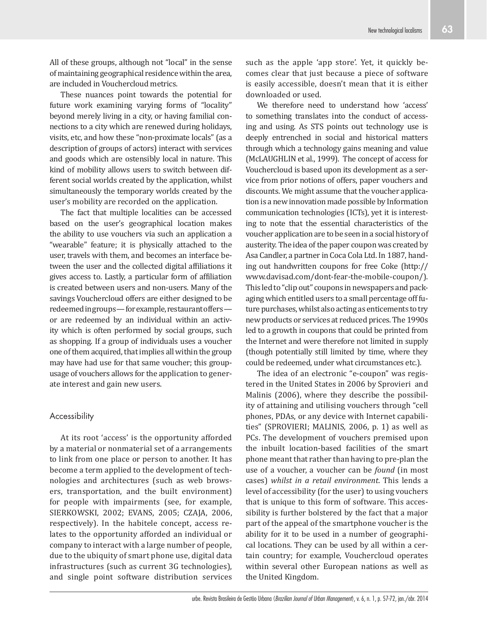All of these groups, although not "local" in the sense of maintaining geographical residence within the area, are included in Vouchercloud metrics.

These nuances point towards the potential for future work examining varying forms of "locality" beyond merely living in a city, or having familial connections to a city which are renewed during holidays, visits, etc, and how these "non-proximate locals" (as a description of groups of actors) interact with services and goods which are ostensibly local in nature. This kind of mobility allows users to switch between different social worlds created by the application, whilst simultaneously the temporary worlds created by the user's mobility are recorded on the application.

The fact that multiple localities can be accessed based on the user's geographical location makes the ability to use vouchers via such an application a "wearable" feature; it is physically attached to the user, travels with them, and becomes an interface between the user and the collected digital affiliations it gives access to. Lastly, a particular form of affiliation is created between users and non-users. Many of the savings Vouchercloud offers are either designed to be redeemed in groups — for example, restaurant offers or are redeemed by an individual within an activity which is often performed by social groups, such as shopping. If a group of individuals uses a voucher one of them acquired, that implies all within the group may have had use for that same voucher; this groupusage of vouchers allows for the application to generate interest and gain new users.

#### Accessibility

At its root 'access' is the opportunity afforded by a material or nonmaterial set of a arrangements to link from one place or person to another. It has become a term applied to the development of technologies and architectures (such as web browsers, transportation, and the built environment) for people with impairments (see, for example, SIERKOWSKI, 2002; EVANS, 2005; CZAJA, 2006, respectively). In the habitele concept, access relates to the opportunity afforded an individual or company to interact with a large number of people, due to the ubiquity of smart phone use, digital data infrastructures (such as current 3G technologies), and single point software distribution services

such as the apple 'app store'. Yet, it quickly becomes clear that just because a piece of software is easily accessible, doesn't mean that it is either downloaded or used.

We therefore need to understand how 'access' to something translates into the conduct of accessing and using. As STS points out technology use is deeply entrenched in social and historical matters through which a technology gains meaning and value (McLAUGHLIN et al., 1999). The concept of access for Vouchercloud is based upon its development as a service from prior notions of offers, paper vouchers and discounts. We might assume that the voucher application is a new innovation made possible by Information communication technologies (ICTs), yet it is interesting to note that the essential characteristics of the voucher application are to be seen in a social history of austerity. The idea of the paper coupon was created by Asa Candler, a partner in Coca Cola Ltd. In 1887, handing out handwritten coupons for free Coke (http:// www.davisad.com/dont-fear-the-mobile-coupon/). This led to "clip out" coupons in newspapers and packaging which entitled users to a small percentage off future purchases, whilst also acting as enticements to try new products or services at reduced prices. The 1990s led to a growth in coupons that could be printed from the Internet and were therefore not limited in supply (though potentially still limited by time, where they could be redeemed, under what circumstances etc.).

The idea of an electronic "e-coupon" was registered in the United States in 2006 by Sprovieri and Malinis (2006), where they describe the possibility of attaining and utilising vouchers through "cell phones, PDAs, or any device with Internet capabilities" (SPROVIERI; MALINIS, 2006, p. 1) as well as PCs. The development of vouchers premised upon the inbuilt location-based facilities of the smart phone meant that rather than having to pre-plan the use of a voucher, a voucher can be *found* (in most cases) *whilst in a retail environment*. This lends a level of accessibility (for the user) to using vouchers that is unique to this form of software. This accessibility is further bolstered by the fact that a major part of the appeal of the smartphone voucher is the ability for it to be used in a number of geographical locations. They can be used by all within a certain country; for example, Vouchercloud operates within several other European nations as well as the United Kingdom.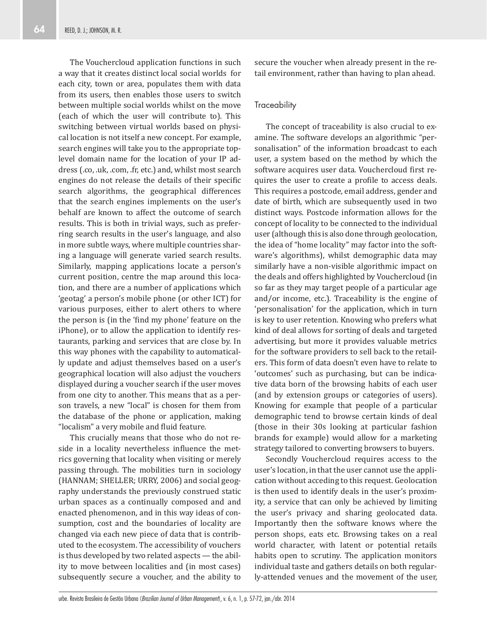The Vouchercloud application functions in such a way that it creates distinct local social worlds for each city, town or area, populates them with data from its users, then enables those users to switch between multiple social worlds whilst on the move (each of which the user will contribute to). This switching between virtual worlds based on physical location is not itself a new concept. For example, search engines will take you to the appropriate toplevel domain name for the location of your IP address (.co, .uk, .com, .fr, etc.) and, whilst most search engines do not release the details of their specific search algorithms, the geographical differences that the search engines implements on the user's behalf are known to affect the outcome of search results. This is both in trivial ways, such as preferring search results in the user's language, and also in more subtle ways, where multiple countries sharing a language will generate varied search results. Similarly, mapping applications locate a person's current position, centre the map around this location, and there are a number of applications which 'geotag' a person's mobile phone (or other ICT) for various purposes, either to alert others to where the person is (in the 'find my phone' feature on the iPhone), or to allow the application to identify restaurants, parking and services that are close by. In this way phones with the capability to automatically update and adjust themselves based on a user's geographical location will also adjust the vouchers displayed during a voucher search if the user moves from one city to another. This means that as a person travels, a new "local" is chosen for them from the database of the phone or application, making "localism" a very mobile and fluid feature.

This crucially means that those who do not reside in a locality nevertheless influence the metrics governing that locality when visiting or merely passing through. The mobilities turn in sociology (HANNAM; SHELLER; URRY, 2006) and social geography understands the previously construed static urban spaces as a continually composed and and enacted phenomenon, and in this way ideas of consumption, cost and the boundaries of locality are changed via each new piece of data that is contributed to the ecosystem. The accessibility of vouchers is thus developed by two related aspects — the ability to move between localities and (in most cases) subsequently secure a voucher, and the ability to secure the voucher when already present in the retail environment, rather than having to plan ahead.

#### **Traceability**

The concept of traceability is also crucial to examine. The software develops an algorithmic "personalisation" of the information broadcast to each user, a system based on the method by which the software acquires user data. Vouchercloud first requires the user to create a profile to access deals. This requires a postcode, email address, gender and date of birth, which are subsequently used in two distinct ways. Postcode information allows for the concept of locality to be connected to the individual user (although this is also done through geolocation, the idea of "home locality" may factor into the software's algorithms), whilst demographic data may similarly have a non-visible algorithmic impact on the deals and offers highlighted by Vouchercloud (in so far as they may target people of a particular age and/or income, etc.). Traceability is the engine of 'personalisation' for the application, which in turn is key to user retention. Knowing who prefers what kind of deal allows for sorting of deals and targeted advertising, but more it provides valuable metrics for the software providers to sell back to the retailers. This form of data doesn't even have to relate to 'outcomes' such as purchasing, but can be indicative data born of the browsing habits of each user (and by extension groups or categories of users). Knowing for example that people of a particular demographic tend to browse certain kinds of deal (those in their 30s looking at particular fashion brands for example) would allow for a marketing strategy tailored to converting browsers to buyers.

Secondly Vouchercloud requires access to the user's location, in that the user cannot use the application without acceding to this request. Geolocation is then used to identify deals in the user's proximity, a service that can only be achieved by limiting the user's privacy and sharing geolocated data. Importantly then the software knows where the person shops, eats etc. Browsing takes on a real world character, with latent or potential retails habits open to scrutiny. The application monitors individual taste and gathers details on both regularly-attended venues and the movement of the user,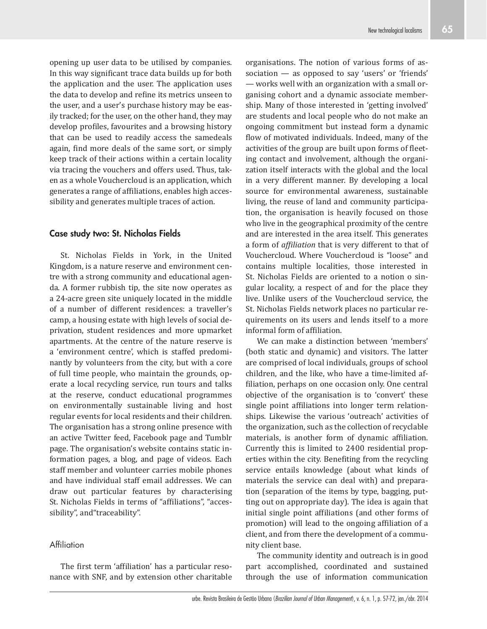opening up user data to be utilised by companies. In this way significant trace data builds up for both the application and the user. The application uses the data to develop and refine its metrics unseen to the user, and a user's purchase history may be easily tracked; for the user, on the other hand, they may develop profiles, favourites and a browsing history that can be used to readily access the samedeals again, find more deals of the same sort, or simply keep track of their actions within a certain locality via tracing the vouchers and offers used. Thus, taken as a whole Vouchercloud is an application, which generates a range of affiliations, enables high accessibility and generates multiple traces of action.

#### **Case study two: St. Nicholas Fields**

St. Nicholas Fields in York, in the United Kingdom, is a nature reserve and environment centre with a strong community and educational agenda. A former rubbish tip, the site now operates as a 24-acre green site uniquely located in the middle of a number of different residences: a traveller's camp, a housing estate with high levels of social deprivation, student residences and more upmarket apartments. At the centre of the nature reserve is a 'environment centre', which is staffed predominantly by volunteers from the city, but with a core of full time people, who maintain the grounds, operate a local recycling service, run tours and talks at the reserve, conduct educational programmes on environmentally sustainable living and host regular events for local residents and their children. The organisation has a strong online presence with an active Twitter feed, Facebook page and Tumblr page. The organisation's website contains static information pages, a blog, and page of videos. Each staff member and volunteer carries mobile phones and have individual staff email addresses. We can draw out particular features by characterising St. Nicholas Fields in terms of "affiliations", "accessibility", and"traceability".

# **Affiliation**

The first term 'affiliation' has a particular resonance with SNF, and by extension other charitable organisations. The notion of various forms of association — as opposed to say 'users' or 'friends' — works well with an organization with a small organising cohort and a dynamic associate membership. Many of those interested in 'getting involved' are students and local people who do not make an ongoing commitment but instead form a dynamic flow of motivated individuals. Indeed, many of the activities of the group are built upon forms of fleeting contact and involvement, although the organization itself interacts with the global and the local in a very different manner. By developing a local source for environmental awareness, sustainable living, the reuse of land and community participation, the organisation is heavily focused on those who live in the geographical proximity of the centre and are interested in the area itself. This generates a form of *affiliation* that is very different to that of Vouchercloud. Where Vouchercloud is "loose" and contains multiple localities, those interested in St. Nicholas Fields are oriented to a notion o singular locality, a respect of and for the place they live. Unlike users of the Vouchercloud service, the St. Nicholas Fields network places no particular requirements on its users and lends itself to a more informal form of affiliation.

We can make a distinction between 'members' (both static and dynamic) and visitors. The latter are comprised of local individuals, groups of school children, and the like, who have a time-limited affiliation, perhaps on one occasion only. One central objective of the organisation is to 'convert' these single point affiliations into longer term relationships. Likewise the various 'outreach' activities of the organization, such as the collection of recyclable materials, is another form of dynamic affiliation. Currently this is limited to 2400 residential properties within the city. Benefiting from the recycling service entails knowledge (about what kinds of materials the service can deal with) and preparation (separation of the items by type, bagging, putting out on appropriate day). The idea is again that initial single point affiliations (and other forms of promotion) will lead to the ongoing affiliation of a client, and from there the development of a community client base.

The community identity and outreach is in good part accomplished, coordinated and sustained through the use of information communication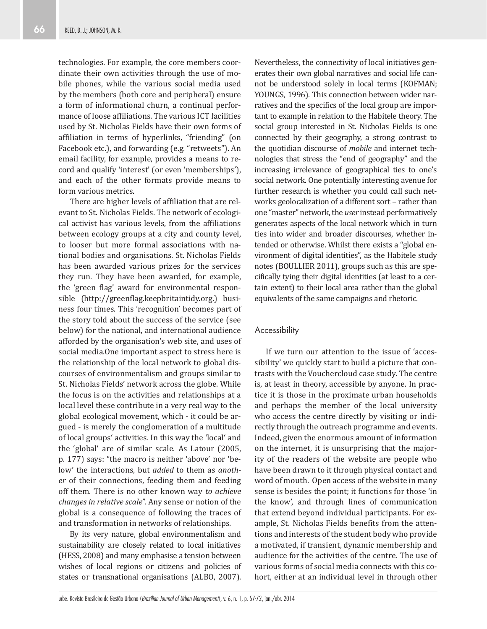technologies. For example, the core members coordinate their own activities through the use of mobile phones, while the various social media used by the members (both core and peripheral) ensure a form of informational churn, a continual performance of loose affiliations. The various ICT facilities used by St. Nicholas Fields have their own forms of affiliation in terms of hyperlinks, "friending" (on Facebook etc.), and forwarding (e.g. "retweets"). An email facility, for example, provides a means to record and qualify 'interest' (or even 'memberships'), and each of the other formats provide means to form various metrics.

There are higher levels of affiliation that are relevant to St. Nicholas Fields. The network of ecological activist has various levels, from the affiliations between ecology groups at a city and county level, to looser but more formal associations with national bodies and organisations. St. Nicholas Fields has been awarded various prizes for the services they run. They have been awarded, for example, the 'green flag' award for environmental responsible (http://greenflag.keepbritaintidy.org.) business four times. This 'recognition' becomes part of the story told about the success of the service (see below) for the national, and international audience afforded by the organisation's web site, and uses of social media.One important aspect to stress here is the relationship of the local network to global discourses of environmentalism and groups similar to St. Nicholas Fields' network across the globe. While the focus is on the activities and relationships at a local level these contribute in a very real way to the global ecological movement, which - it could be argued - is merely the conglomeration of a multitude of local groups' activities. In this way the 'local' and the 'global' are of similar scale. As Latour (2005, p. 177) says: "the macro is neither 'above' nor 'below' the interactions, but *added* to them as *another* of their connections, feeding them and feeding off them. There is no other known way *to achieve changes in relative scale*". Any sense or notion of the global is a consequence of following the traces of and transformation in networks of relationships.

By its very nature, global environmentalism and sustainability are closely related to local initiatives (HESS, 2008) and many emphasise a tension between wishes of local regions or citizens and policies of states or transnational organisations (ALBO, 2007).

Nevertheless, the connectivity of local initiatives generates their own global narratives and social life cannot be understood solely in local terms (KOFMAN; YOUNGS, 1996). This connection between wider narratives and the specifics of the local group are important to example in relation to the Habitele theory. The social group interested in St. Nicholas Fields is one connected by their geography, a strong contrast to the quotidian discourse of *mobile* and internet technologies that stress the "end of geography" and the increasing irrelevance of geographical ties to one's social network. One potentially interesting avenue for further research is whether you could call such networks geolocalization of a different sort – rather than one "master" network, the *user* instead performatively generates aspects of the local network which in turn ties into wider and broader discourses, whether intended or otherwise. Whilst there exists a "global environment of digital identities", as the Habitele study notes (BOULLIER 2011), groups such as this are specifically tying their digital identities (at least to a certain extent) to their local area rather than the global equivalents of the same campaigns and rhetoric.

#### **Accessibility**

If we turn our attention to the issue of 'accessibility' we quickly start to build a picture that contrasts with the Vouchercloud case study. The centre is, at least in theory, accessible by anyone. In practice it is those in the proximate urban households and perhaps the member of the local university who access the centre directly by visiting or indirectly through the outreach programme and events. Indeed, given the enormous amount of information on the internet, it is unsurprising that the majority of the readers of the website are people who have been drawn to it through physical contact and word of mouth. Open access of the website in many sense is besides the point; it functions for those 'in the know', and through lines of communication that extend beyond individual participants. For example, St. Nicholas Fields benefits from the attentions and interests of the student body who provide a motivated, if transient, dynamic membership and audience for the activities of the centre. The use of various forms of social media connects with this cohort, either at an individual level in through other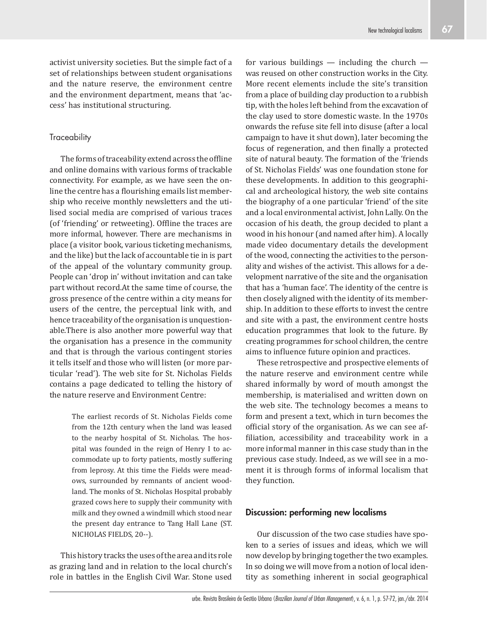activist university societies. But the simple fact of a set of relationships between student organisations and the nature reserve, the environment centre and the environment department, means that 'access' has institutional structuring.

#### **Traceability**

The forms of traceability extend across the offline and online domains with various forms of trackable connectivity. For example, as we have seen the online the centre has a flourishing emails list membership who receive monthly newsletters and the utilised social media are comprised of various traces (of 'friending' or retweeting). Offline the traces are more informal, however. There are mechanisms in place (a visitor book, various ticketing mechanisms, and the like) but the lack of accountable tie in is part of the appeal of the voluntary community group. People can 'drop in' without invitation and can take part without record.At the same time of course, the gross presence of the centre within a city means for users of the centre, the perceptual link with, and hence traceability of the organisation is unquestionable.There is also another more powerful way that the organisation has a presence in the community and that is through the various contingent stories it tells itself and those who will listen (or more particular 'read'). The web site for St. Nicholas Fields contains a page dedicated to telling the history of the nature reserve and Environment Centre:

> The earliest records of St. Nicholas Fields come from the 12th century when the land was leased to the nearby hospital of St. Nicholas. The hospital was founded in the reign of Henry I to accommodate up to forty patients, mostly suffering from leprosy. At this time the Fields were meadows, surrounded by remnants of ancient woodland. The monks of St. Nicholas Hospital probably grazed cows here to supply their community with milk and they owned a windmill which stood near the present day entrance to Tang Hall Lane (ST. NICHOLAS FIELDS, 20--).

This history tracks the uses of the area and its role as grazing land and in relation to the local church's role in battles in the English Civil War. Stone used for various buildings  $-$  including the church  $$ was reused on other construction works in the City. More recent elements include the site's transition from a place of building clay production to a rubbish tip, with the holes left behind from the excavation of the clay used to store domestic waste. In the 1970s onwards the refuse site fell into disuse (after a local campaign to have it shut down), later becoming the focus of regeneration, and then finally a protected site of natural beauty. The formation of the 'friends of St. Nicholas Fields' was one foundation stone for these developments. In addition to this geographical and archeological history, the web site contains the biography of a one particular 'friend' of the site and a local environmental activist, John Lally. On the occasion of his death, the group decided to plant a wood in his honour (and named after him). A locally made video documentary details the development of the wood, connecting the activities to the personality and wishes of the activist. This allows for a development narrative of the site and the organisation that has a 'human face'. The identity of the centre is then closely aligned with the identity of its membership. In addition to these efforts to invest the centre and site with a past, the environment centre hosts education programmes that look to the future. By creating programmes for school children, the centre aims to influence future opinion and practices.

These retrospective and prospective elements of the nature reserve and environment centre while shared informally by word of mouth amongst the membership, is materialised and written down on the web site. The technology becomes a means to form and present a text, which in turn becomes the official story of the organisation. As we can see affiliation, accessibility and traceability work in a more informal manner in this case study than in the previous case study. Indeed, as we will see in a moment it is through forms of informal localism that they function.

## **Discussion: performing new localisms**

Our discussion of the two case studies have spoken to a series of issues and ideas, which we will now develop by bringing together the two examples. In so doing we will move from a notion of local identity as something inherent in social geographical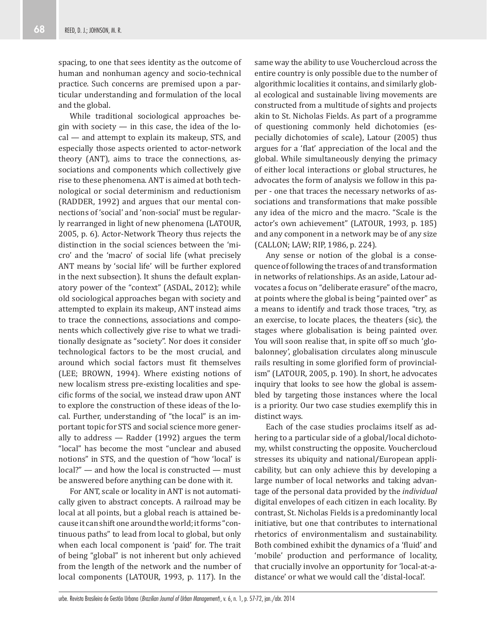spacing, to one that sees identity as the outcome of human and nonhuman agency and socio-technical practice. Such concerns are premised upon a particular understanding and formulation of the local and the global.

While traditional sociological approaches begin with society  $-$  in this case, the idea of the local — and attempt to explain its makeup, STS, and especially those aspects oriented to actor-network theory (ANT), aims to trace the connections, associations and components which collectively give rise to these phenomena. ANT is aimed at both technological or social determinism and reductionism (RADDER, 1992) and argues that our mental connections of 'social' and 'non-social' must be regularly rearranged in light of new phenomena (LATOUR, 2005, p. 6). Actor-Network Theory thus rejects the distinction in the social sciences between the 'micro' and the 'macro' of social life (what precisely ANT means by 'social life' will be further explored in the next subsection). It shuns the default explanatory power of the "context" (ASDAL, 2012); while old sociological approaches began with society and attempted to explain its makeup, ANT instead aims to trace the connections, associations and components which collectively give rise to what we traditionally designate as "society". Nor does it consider technological factors to be the most crucial, and around which social factors must fit themselves (LEE; BROWN, 1994). Where existing notions of new localism stress pre-existing localities and specific forms of the social, we instead draw upon ANT to explore the construction of these ideas of the local. Further, understanding of "the local" is an important topic for STS and social science more generally to address — Radder (1992) argues the term "local" has become the most "unclear and abused notions" in STS, and the question of "how 'local' is local?" — and how the local is constructed — must be answered before anything can be done with it.

For ANT, scale or locality in ANT is not automatically given to abstract concepts. A railroad may be local at all points, but a global reach is attained because it can shift one around the world; it forms "continuous paths" to lead from local to global, but only when each local component is 'paid' for. The trait of being "global" is not inherent but only achieved from the length of the network and the number of local components (LATOUR, 1993, p. 117). In the same way the ability to use Vouchercloud across the entire country is only possible due to the number of algorithmic localities it contains, and similarly global ecological and sustainable living movements are constructed from a multitude of sights and projects akin to St. Nicholas Fields. As part of a programme of questioning commonly held dichotomies (especially dichotomies of scale), Latour (2005) thus argues for a 'flat' appreciation of the local and the global. While simultaneously denying the primacy of either local interactions or global structures, he advocates the form of analysis we follow in this paper - one that traces the necessary networks of associations and transformations that make possible any idea of the micro and the macro. "Scale is the actor's own achievement" (LATOUR, 1993, p. 185) and any component in a network may be of any size (CALLON; LAW; RIP, 1986, p. 224).

Any sense or notion of the global is a consequence of following the traces of and transformation in networks of relationships. As an aside, Latour advocates a focus on "deliberate erasure" of the macro, at points where the global is being "painted over" as a means to identify and track those traces, "try, as an exercise, to locate places, the theaters (sic), the stages where globalisation is being painted over. You will soon realise that, in spite off so much 'globalonney', globalisation circulates along minuscule rails resulting in some glorified form of provincialism" (LATOUR, 2005, p. 190). In short, he advocates inquiry that looks to see how the global is assembled by targeting those instances where the local is a priority. Our two case studies exemplify this in distinct ways.

Each of the case studies proclaims itself as adhering to a particular side of a global/local dichotomy, whilst constructing the opposite. Vouchercloud stresses its ubiquity and national/European applicability, but can only achieve this by developing a large number of local networks and taking advantage of the personal data provided by the *individual* digital envelopes of each citizen in each locality. By contrast, St. Nicholas Fields is a predominantly local initiative, but one that contributes to international rhetorics of environmentalism and sustainability. Both combined exhibit the dynamics of a 'fluid' and 'mobile' production and performance of locality, that crucially involve an opportunity for 'local-at-adistance' or what we would call the 'distal-local'.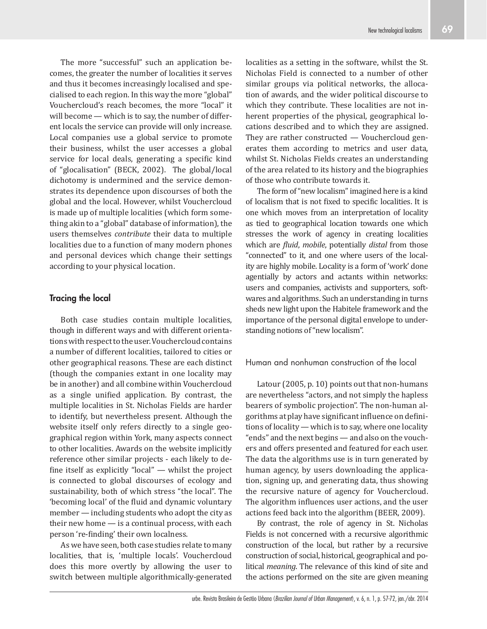The more "successful" such an application becomes, the greater the number of localities it serves and thus it becomes increasingly localised and specialised to each region. In this way the more "global" Vouchercloud's reach becomes, the more "local" it will become — which is to say, the number of different locals the service can provide will only increase. Local companies use a global service to promote their business, whilst the user accesses a global service for local deals, generating a specific kind of "glocalisation" (BECK, 2002). The global/local dichotomy is undermined and the service demonstrates its dependence upon discourses of both the global and the local. However, whilst Vouchercloud is made up of multiple localities (which form something akin to a "global" database of information), the users themselves *contribute* their data to multiple localities due to a function of many modern phones and personal devices which change their settings according to your physical location.

# **Tracing the local**

Both case studies contain multiple localities, though in different ways and with different orientations with respect to the user. Vouchercloud contains a number of different localities, tailored to cities or other geographical reasons. These are each distinct (though the companies extant in one locality may be in another) and all combine within Vouchercloud as a single unified application. By contrast, the multiple localities in St. Nicholas Fields are harder to identify, but nevertheless present. Although the website itself only refers directly to a single geographical region within York, many aspects connect to other localities. Awards on the website implicitly reference other similar projects - each likely to define itself as explicitly "local"  $-$  whilst the project is connected to global discourses of ecology and sustainability, both of which stress "the local". The 'becoming local' of the fluid and dynamic voluntary member — including students who adopt the city as their new home — is a continual process, with each person 're-finding' their own localness.

As we have seen, both case studies relate to many localities, that is, 'multiple locals'. Vouchercloud does this more overtly by allowing the user to switch between multiple algorithmically-generated

localities as a setting in the software, whilst the St. Nicholas Field is connected to a number of other similar groups via political networks, the allocation of awards, and the wider political discourse to which they contribute. These localities are not inherent properties of the physical, geographical locations described and to which they are assigned. They are rather constructed — Vouchercloud generates them according to metrics and user data, whilst St. Nicholas Fields creates an understanding of the area related to its history and the biographies of those who contribute towards it.

The form of "new localism" imagined here is a kind of localism that is not fixed to specific localities. It is one which moves from an interpretation of locality as tied to geographical location towards one which stresses the work of agency in creating localities which are *fluid*, *mobile*, potentially *distal* from those "connected" to it, and one where users of the locality are highly mobile. Locality is a form of 'work' done agentially by actors and actants within networks: users and companies, activists and supporters, softwares and algorithms. Such an understanding in turns sheds new light upon the Habitele framework and the importance of the personal digital envelope to understanding notions of "new localism".

# Human and nonhuman construction of the local

Latour (2005, p. 10) points out that non-humans are nevertheless "actors, and not simply the hapless bearers of symbolic projection". The non-human algorithms at play have significant influence on definitions of locality — which is to say, where one locality "ends" and the next begins — and also on the vouchers and offers presented and featured for each user. The data the algorithms use is in turn generated by human agency, by users downloading the application, signing up, and generating data, thus showing the recursive nature of agency for Vouchercloud. The algorithm influences user actions, and the user actions feed back into the algorithm (BEER, 2009).

By contrast, the role of agency in St. Nicholas Fields is not concerned with a recursive algorithmic construction of the local, but rather by a recursive construction of social, historical, geographical and political *meaning*. The relevance of this kind of site and the actions performed on the site are given meaning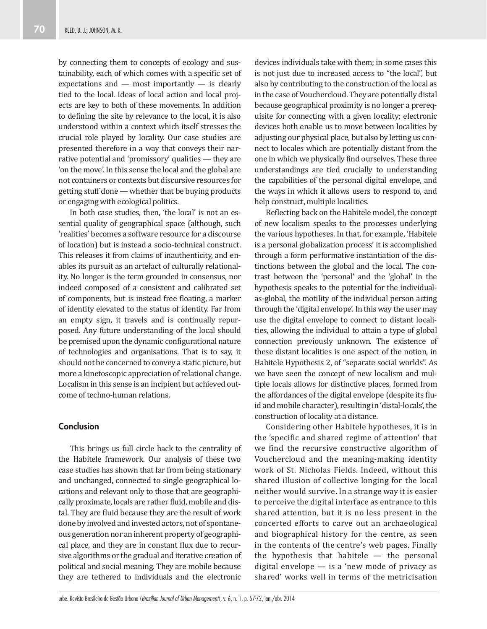by connecting them to concepts of ecology and sustainability, each of which comes with a specific set of expectations and — most importantly — is clearly tied to the local. Ideas of local action and local projects are key to both of these movements. In addition to defining the site by relevance to the local, it is also understood within a context which itself stresses the crucial role played by locality. Our case studies are presented therefore in a way that conveys their narrative potential and 'promissory' qualities — they are 'on the move'. In this sense the local and the global are not containers or contexts but discursive resources for getting stuff done — whether that be buying products or engaging with ecological politics.

In both case studies, then, 'the local' is not an essential quality of geographical space (although, such 'realities' becomes a software resource for a discourse of location) but is instead a socio-technical construct. This releases it from claims of inauthenticity, and enables its pursuit as an artefact of culturally relationality. No longer is the term grounded in consensus, nor indeed composed of a consistent and calibrated set of components, but is instead free floating, a marker of identity elevated to the status of identity. Far from an empty sign, it travels and is continually repurposed. Any future understanding of the local should be premised upon the dynamic configurational nature of technologies and organisations. That is to say, it should not be concerned to convey a static picture, but more a kinetoscopic appreciation of relational change. Localism in this sense is an incipient but achieved outcome of techno-human relations.

# **Conclusion**

This brings us full circle back to the centrality of the Habitele framework. Our analysis of these two case studies has shown that far from being stationary and unchanged, connected to single geographical locations and relevant only to those that are geographically proximate, locals are rather fluid, mobile and distal. They are fluid because they are the result of work done by involved and invested actors, not of spontaneous generation nor an inherent property of geographical place, and they are in constant flux due to recursive algorithms or the gradual and iterative creation of political and social meaning. They are mobile because they are tethered to individuals and the electronic

devices individuals take with them; in some cases this is not just due to increased access to "the local", but also by contributing to the construction of the local as in the case of Vouchercloud. They are potentially distal because geographical proximity is no longer a prerequisite for connecting with a given locality; electronic devices both enable us to move between localities by adjusting our physical place, but also by letting us connect to locales which are potentially distant from the one in which we physically find ourselves. These three understandings are tied crucially to understanding the capabilities of the personal digital envelope, and the ways in which it allows users to respond to, and help construct, multiple localities.

Reflecting back on the Habitele model, the concept of new localism speaks to the processes underlying the various hypotheses. In that, for example, 'Habitele is a personal globalization process' it is accomplished through a form performative instantiation of the distinctions between the global and the local. The contrast between the 'personal' and the 'global' in the hypothesis speaks to the potential for the individualas-global, the motility of the individual person acting through the 'digital envelope'. In this way the user may use the digital envelope to connect to distant localities, allowing the individual to attain a type of global connection previously unknown. The existence of these distant localities is one aspect of the notion, in Habitele Hypothesis 2, of "separate social worlds". As we have seen the concept of new localism and multiple locals allows for distinctive places, formed from the affordances of the digital envelope (despite its fluid and mobile character), resulting in 'distal-locals', the construction of locality at a distance.

Considering other Habitele hypotheses, it is in the 'specific and shared regime of attention' that we find the recursive constructive algorithm of Vouchercloud and the meaning-making identity work of St. Nicholas Fields. Indeed, without this shared illusion of collective longing for the local neither would survive. In a strange way it is easier to perceive the digital interface as entrance to this shared attention, but it is no less present in the concerted efforts to carve out an archaeological and biographical history for the centre, as seen in the contents of the centre's web pages. Finally the hypothesis that habitele  $-$  the personal digital envelope — is a 'new mode of privacy as shared' works well in terms of the metricisation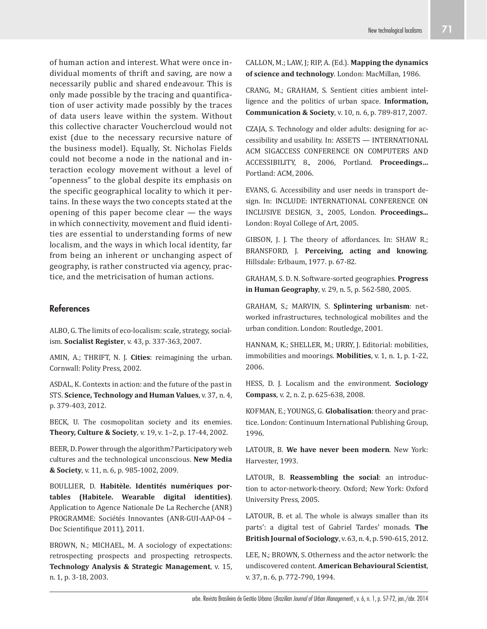of human action and interest. What were once individual moments of thrift and saving, are now a necessarily public and shared endeavour. This is only made possible by the tracing and quantification of user activity made possibly by the traces of data users leave within the system. Without this collective character Vouchercloud would not exist (due to the necessary recursive nature of the business model). Equally, St. Nicholas Fields could not become a node in the national and interaction ecology movement without a level of "openness" to the global despite its emphasis on the specific geographical locality to which it pertains. In these ways the two concepts stated at the opening of this paper become clear — the ways in which connectivity, movement and fluid identities are essential to understanding forms of new localism, and the ways in which local identity, far from being an inherent or unchanging aspect of geography, is rather constructed via agency, practice, and the metricisation of human actions.

# **References**

ALBO, G. The limits of eco-localism: scale, strategy, socialism. **Socialist Register**, v. 43, p. 337-363, 2007.

AMIN, A.; THRIFT, N. J. **Cities**: reimagining the urban. Cornwall: Polity Press, 2002.

ASDAL, K. Contexts in action: and the future of the past in STS. **Science, Technology and Human Values**, v. 37, n. 4, p. 379-403, 2012.

BECK, U. The cosmopolitan society and its enemies. **Theory, Culture & Society**, v. 19, v. 1–2, p. 17-44, 2002.

BEER, D. Power through the algorithm? Participatory web cultures and the technological unconscious. **New Media & Society**, v. 11, n. 6, p. 985-1002, 2009.

BOULLIER, D. **Habitèle. Identités numériques portables (Habitele. Wearable digital identities)**. Application to Agence Nationale De La Recherche (ANR) PROGRAMME: Sociétés Innovantes (ANR-GUI-AAP-04 – Doc Scientifique 2011), 2011.

BROWN, N.; MICHAEL, M. A sociology of expectations: retrospecting prospects and prospecting retrospects. **Technology Analysis & Strategic Management**, v. 15, n. 1, p. 3-18, 2003.

CALLON, M.; LAW, J; RIP, A. (Ed.). **Mapping the dynamics of science and technology**. London: MacMillan, 1986.

CRANG, M.; GRAHAM, S. Sentient cities ambient intelligence and the politics of urban space. **Information, Communication & Society**, v. 10, n. 6, p. 789-817, 2007.

CZAJA, S. Technology and older adults: designing for accessibility and usability. In: ASSETS — INTERNATIONAL ACM SIGACCESS CONFERENCE ON COMPUTERS AND ACCESSIBILITY, 8., 2006, Portland. **Proceedings…**  Portland: ACM, 2006.

EVANS, G. Accessibility and user needs in transport design. In: INCLUDE: INTERNATIONAL CONFERENCE ON INCLUSIVE DESIGN, 3., 2005, London. **Proceedings...**  London: Royal College of Art, 2005.

GIBSON, J. J. The theory of affordances. In: SHAW R.; BRANSFORD, J. **Perceiving, acting and knowing**. Hillsdale: Erlbaum, 1977. p. 67-82.

GRAHAM, S. D. N. Software-sorted geographies. **Progress in Human Geography**, v. 29, n. 5, p. 562-580, 2005.

GRAHAM, S.; MARVIN, S. **Splintering urbanism**: networked infrastructures, technological mobilites and the urban condition. London: Routledge, 2001.

HANNAM, K.; SHELLER, M.; URRY, J. Editorial: mobilities, immobilities and moorings. **Mobilities**, v. 1, n. 1, p. 1-22, 2006.

HESS, D. J. Localism and the environment. **Sociology Compass**, v. 2, n. 2, p. 625-638, 2008.

KOFMAN, E.; YOUNGS, G. **Globalisation**: theory and practice. London: Continuum International Publishing Group, 1996.

LATOUR, B. **We have never been modern**. New York: Harvester, 1993.

LATOUR, B. **Reassembling the social**: an introduction to actor-network-theory. Oxford; New York: Oxford University Press, 2005.

LATOUR, B. et al. The whole is always smaller than its parts': a digital test of Gabriel Tardes' monads. **The British Journal of Sociology**, v. 63, n. 4, p. 590-615, 2012.

LEE, N.; BROWN, S. Otherness and the actor network: the undiscovered content. **American Behavioural Scientist**, v. 37, n. 6, p. 772-790, 1994.